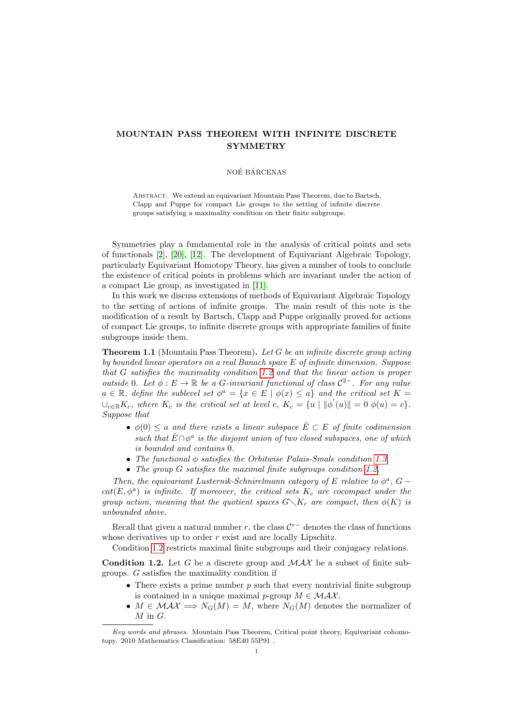# MOUNTAIN PASS THEOREM WITH INFINITE DISCRETE SYMMETRY

#### NOÉ BÁRCENAS

ABSTRACT. We extend an equivariant Mountain Pass Theorem, due to Bartsch, Clapp and Puppe for compact Lie groups to the setting of infinite discrete groups satisfying a maximality condition on their finite subgroups.

Symmetries play a fundamental role in the analysis of critical points and sets of functionals [\[2\]](#page-14-0), [\[20\]](#page-14-1), [\[12\]](#page-14-2). The development of Equivariant Algebraic Topology, particularly Equivariant Homotopy Theory, has given a number of tools to conclude the existence of critical points in problems which are invariant under the action of a compact Lie group, as investigated in [\[11\]](#page-14-3).

In this work we discuss extensions of methods of Equivariant Algebraic Topology to the setting of actions of infinite groups. The main result of this note is the modification of a result by Bartsch, Clapp and Puppe originally proved for actions of compact Lie groups, to infinite discrete groups with appropriate families of finite subgroups inside them.

<span id="page-0-1"></span>**Theorem 1.1** (Mountain Pass Theorem). Let G be an infinite discrete group acting by bounded linear operators on a real Banach space E of infinite dimension. Suppose that G satisfies the maximality condition [1.2](#page-0-0) and that the linear action is proper outside 0. Let  $\phi : E \to \mathbb{R}$  be a G-invariant functional of class  $\mathcal{C}^{2-}$ . For any value  $a \in \mathbb{R}$ , define the sublevel set  $\phi^a = \{x \in E \mid \phi(x) \leq a\}$  and the critical set  $K =$  $\bigcup_{c \in \mathbb{R}} K_c$ , where  $K_c$  is the critical set at level c,  $K_c = \{u \mid ||\phi^{'}(u)|| = 0 \phi(u) = c\}.$ Suppose that

- $\phi(0) \leq a$  and there exists a linear subspace  $\hat{E} \subset E$  of finite codimension such that  $\hat{E} \cap \phi^a$  is the disjoint union of two closed subspaces, one of which is bounded and contains 0.
- The functional  $\phi$  satisfies the Orbitwise Palais-Smale condition [1.3.](#page-1-0)
- The group G satisfies the maximal finite subgroups condition [1.2.](#page-0-0)

Then, the equivariant Lusternik-Schnirelmann category of E relative to  $\phi^a$ , G –  $cat(E, \phi^a)$  is infinite. If moreover, the critical sets  $K_c$  are cocompact under the group action, meaning that the quotient spaces  $G\setminus K_c$  are compact, then  $\phi(K)$  is unbounded above.

Recall that given a natural number r, the class  $\mathcal{C}^{r-}$  denotes the class of functions whose derivatives up to order  $r$  exist and are locally Lipschitz.

Condition [1.2](#page-0-0) restricts maximal finite subgroups and their conjugacy relations.

<span id="page-0-0"></span>**Condition 1.2.** Let G be a discrete group and  $MAX$  be a subset of finite subgroups. G satisfies the maximality condition if

- There exists a prime number  $p$  such that every nontrivial finite subgroup is contained in a unique maximal p-group  $M \in \mathcal{MAX}$ .
- $M \in \mathcal{MAX} \Longrightarrow N_G(M) = M$ , where  $N_G(M)$  denotes the normalizer of  $M$  in  $G$ .

Key words and phrases. Mountain Pass Theorem, Critical point theory, Equivariant cohomotopy. 2010 Mathematics Classification: 58E40 55P91 .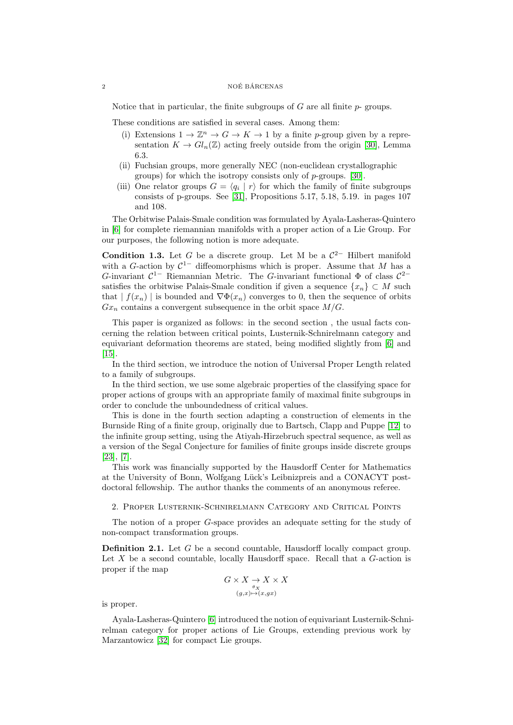#### $\begin{array}{c}\n 2 \\
 \hline\n \end{array}$  NOÉ BÁRCENAS

Notice that in particular, the finite subgroups of  $G$  are all finite  $p$ - groups.

These conditions are satisfied in several cases. Among them:

- (i) Extensions  $1 \to \mathbb{Z}^n \to G \to K \to 1$  by a finite p-group given by a representation  $K \to Gl_n(\mathbb{Z})$  acting freely outside from the origin [\[30\]](#page-14-4), Lemma 6.3.
- (ii) Fuchsian groups, more generally NEC (non-euclidean crystallographic groups) for which the isotropy consists only of p-groups. [\[30\]](#page-14-4).
- (iii) One relator groups  $G = \langle q_i | r \rangle$  for which the family of finite subgroups consists of p-groups. See [\[31\]](#page-14-5), Propositions 5.17, 5.18, 5.19. in pages 107 and 108.

The Orbitwise Palais-Smale condition was formulated by Ayala-Lasheras-Quintero in [\[6\]](#page-14-6) for complete riemannian manifolds with a proper action of a Lie Group. For our purposes, the following notion is more adequate.

<span id="page-1-0"></span>**Condition 1.3.** Let G be a discrete group. Let M be a  $\mathcal{C}^{2-}$  Hilbert manifold with a G-action by  $C^{1-}$  diffeomorphisms which is proper. Assume that M has a G-invariant  $C^{1-}$  Riemannian Metric. The G-invariant functional  $\Phi$  of class  $C^{2-}$ satisfies the orbitwise Palais-Smale condition if given a sequence  $\{x_n\} \subset M$  such that  $| f(x_n) |$  is bounded and  $\nabla \Phi(x_n)$  converges to 0, then the sequence of orbits  $Gx_n$  contains a convergent subsequence in the orbit space  $M/G$ .

This paper is organized as follows: in the second section , the usual facts concerning the relation between critical points, Lusternik-Schnirelmann category and equivariant deformation theorems are stated, being modified slightly from [\[6\]](#page-14-6) and [\[15\]](#page-14-7).

In the third section, we introduce the notion of Universal Proper Length related to a family of subgroups.

In the third section, we use some algebraic properties of the classifying space for proper actions of groups with an appropriate family of maximal finite subgroups in order to conclude the unboundedness of critical values.

This is done in the fourth section adapting a construction of elements in the Burnside Ring of a finite group, originally due to Bartsch, Clapp and Puppe [\[12\]](#page-14-2) to the infinite group setting, using the Atiyah-Hirzebruch spectral sequence, as well as a version of the Segal Conjecture for families of finite groups inside discrete groups [\[23\]](#page-14-8), [\[7\]](#page-14-9).

This work was financially supported by the Hausdorff Center for Mathematics at the University of Bonn, Wolfgang Lück's Leibnizpreis and a CONACYT postdoctoral fellowship. The author thanks the comments of an anonymous referee.

2. Proper Lusternik-Schnirelmann Category and Critical Points

The notion of a proper G-space provides an adequate setting for the study of non-compact transformation groups.

Definition 2.1. Let G be a second countable, Hausdorff locally compact group. Let  $X$  be a second countable, locally Hausdorff space. Recall that a  $G$ -action is proper if the map

$$
G \times X \underset{(g,x) \mapsto (x,gx)}{\underset{\rho_X}{\longrightarrow}} X \times X
$$

is proper.

Ayala-Lasheras-Quintero [\[6\]](#page-14-6) introduced the notion of equivariant Lusternik-Schnirelman category for proper actions of Lie Groups, extending previous work by Marzantowicz [\[32\]](#page-15-0) for compact Lie groups.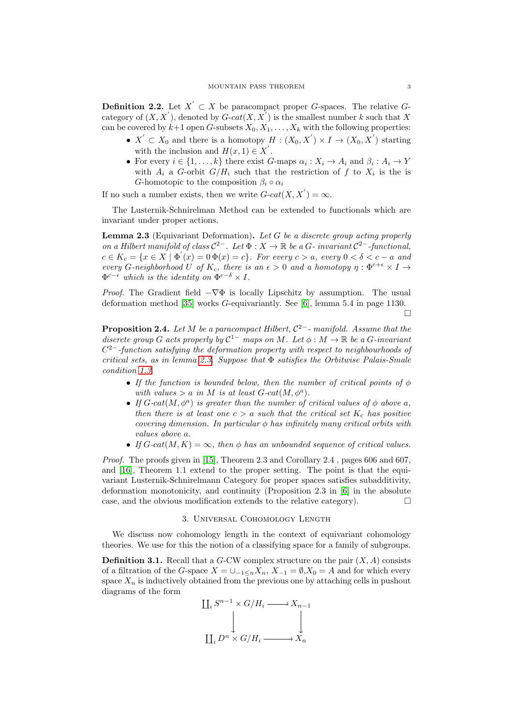**Definition 2.2.** Let  $X' \subset X$  be paracompact proper G-spaces. The relative Gcategory of  $(X, X^{'})$ , denoted by  $G\text{-}cat(X, X^{'})$  is the smallest number k such that X can be covered by  $k+1$  open G-subsets  $X_0, X_1, \ldots, X_k$  with the following properties:

- $X' \subset X_0$  and there is a homotopy  $H : (X_0, X') \times I \to (X_0, X')$  starting with the inclusion and  $H(x, 1) \in X'$ .
- For every  $i \in \{1, ..., k\}$  there exist G-maps  $\alpha_i : X_i \to A_i$  and  $\beta_i : A_i \to Y$ with  $A_i$  a G-orbit  $G/H_i$  such that the restriction of f to  $X_i$  is the is G-homotopic to the composition  $\beta_i \circ \alpha_i$

If no such a number exists, then we write  $G\text{-}cat(X, X') = \infty$ .

The Lusternik-Schnirelman Method can be extended to functionals which are invariant under proper actions.

<span id="page-2-0"></span>Lemma 2.3 (Equivariant Deformation). Let G be a discrete group acting properly on a Hilbert manifold of class  $C^{2-}$ . Let  $\Phi: X \to \mathbb{R}$  be a G-invariant  $C^{2-}$ -functional,  $c \in K_c = \{x \in X \mid \Phi'(x) = 0 \Phi(x) = c\}$ . For every  $c > a$ , every  $0 < \delta < c - a$  and every G-neighborhood U of  $K_c$ , there is an  $\epsilon > 0$  and a homotopy  $\eta : \Phi^{c+\epsilon} \times I \to$  $\Phi^{c-\epsilon}$  which is the identity on  $\Phi^{c-\delta} \times I$ .

*Proof.* The Gradient field  $-\nabla\Phi$  is locally Lipschitz by assumption. The usual deformation method [\[35\]](#page-15-1) works G-equivariantly. See [\[6\]](#page-14-6), lemma 5.4 in page 1130.  $\Box$ 

**Proposition 2.4.** Let M be a paracompact Hilbert,  $C^{2-}$ - manifold. Assume that the discrete group G acts properly by  $C^{1-}$  maps on M. Let  $\phi : M \to \mathbb{R}$  be a G-invariant  $C<sup>2</sup>$ -function satisfying the deformation property with respect to neighbourhoods of critical sets, as in lemma [2.3.](#page-2-0) Suppose that  $\Phi$  satisfies the Orbitwise Palais-Smale condition [1.3.](#page-1-0)

- If the function is bounded below, then the number of critical points of  $\phi$ with values  $> a$  in M is at least  $G$ -cat $(M, \phi^a)$ .
- If  $G$ -cat $(M, \phi^a)$  is greater than the number of critical values of  $\phi$  above a, then there is at least one  $c > a$  such that the critical set  $K_c$  has positive covering dimension. In particular  $\phi$  has infinitely many critical orbits with values above a.
- If  $G\text{-}cat(M, K) = \infty$ , then  $\phi$  has an unbounded sequence of critical values.

Proof. The proofs given in [\[15\]](#page-14-7), Theorem 2.3 and Corollary 2.4, pages 606 and 607, and [\[16\]](#page-14-10), Theorem 1.1 extend to the proper setting. The point is that the equivariant Lusternik-Schnirelmann Category for proper spaces satisfies subadditivity, deformation monotonicity, and continuity (Proposition 2.3 in [\[6\]](#page-14-6) in the absolute case, and the obvious modification extends to the relative category).  $\Box$ 

#### 3. Universal Cohomology Length

We discuss now cohomology length in the context of equivariant cohomology theories. We use for this the notion of a classifying space for a family of subgroups.

**Definition 3.1.** Recall that a  $G$ -CW complex structure on the pair  $(X, A)$  consists of a filtration of the G-space  $X = \bigcup_{-1 \le n} X_n$ ,  $X_{-1} = \emptyset$ ,  $X_0 = A$  and for which every space  $X_n$  is inductively obtained from the previous one by attaching cells in pushout diagrams of the form

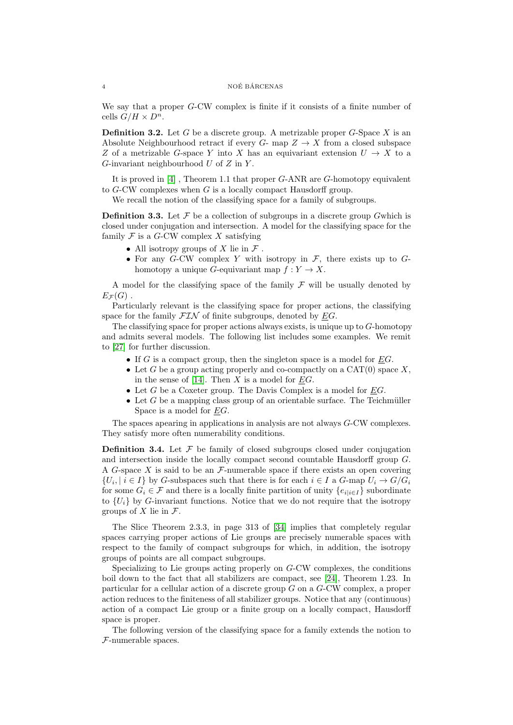#### $4$  NOÉ BÁRCENAS

We say that a proper G-CW complex is finite if it consists of a finite number of cells  $G/H \times D^n$ .

**Definition 3.2.** Let G be a discrete group. A metrizable proper G-Space X is an Absolute Neighbourhood retract if every  $G$ - map  $Z \to X$  from a closed subspace Z of a metrizable G-space Y into X has an equivariant extension  $U \to X$  to a G-invariant neighbourhood  $U$  of  $Z$  in  $Y$ .

It is proved in [\[4\]](#page-14-11) , Theorem 1.1 that proper G-ANR are G-homotopy equivalent to G-CW complexes when G is a locally compact Hausdorff group.

We recall the notion of the classifying space for a family of subgroups.

**Definition 3.3.** Let  $\mathcal F$  be a collection of subgroups in a discrete group Gwhich is closed under conjugation and intersection. A model for the classifying space for the family  $\mathcal F$  is a G-CW complex X satisfying

- All isotropy groups of X lie in  $\mathcal F$ .
- For any G-CW complex Y with isotropy in  $\mathcal{F}$ , there exists up to Ghomotopy a unique G-equivariant map  $f: Y \to X$ .

A model for the classifying space of the family  $\mathcal F$  will be usually denoted by  $E_{\mathcal{F}}(G)$ .

Particularly relevant is the classifying space for proper actions, the classifying space for the family  $\mathcal{FIN}$  of finite subgroups, denoted by  $EG$ .

The classifying space for proper actions always exists, is unique up to  $G$ -homotopy and admits several models. The following list includes some examples. We remit to [\[27\]](#page-14-12) for further discussion.

- If  $G$  is a compact group, then the singleton space is a model for  $EG$ .
- Let G be a group acting properly and co-compactly on a  $CAT(0)$  space X. in the sense of [\[14\]](#page-14-13). Then X is a model for  $\underline{E}G$ .
- Let  $G$  be a Coxeter group. The Davis Complex is a model for  $EG$ .
- Let  $G$  be a mapping class group of an orientable surface. The Teichmüller Space is a model for EG.

The spaces apearing in applications in analysis are not always G-CW complexes. They satisfy more often numerability conditions.

**Definition 3.4.** Let  $\mathcal F$  be family of closed subgroups closed under conjugation and intersection inside the locally compact second countable Hausdorff group G. A G-space X is said to be an  $\mathcal F$ -numerable space if there exists an open covering  $\{U_i, i \in I\}$  by G-subspaces such that there is for each  $i \in I$  a G-map  $U_i \to G/G_i$ for some  $G_i \in \mathcal{F}$  and there is a locally finite partition of unity  $\{e_{i|i\in I}\}\$  subordinate to  $\{U_i\}$  by G-invariant functions. Notice that we do not require that the isotropy groups of X lie in  $\mathcal{F}$ .

The Slice Theorem 2.3.3, in page 313 of [\[34\]](#page-15-2) implies that completely regular spaces carrying proper actions of Lie groups are precisely numerable spaces with respect to the family of compact subgroups for which, in addition, the isotropy groups of points are all compact subgroups.

Specializing to Lie groups acting properly on  $G$ -CW complexes, the conditions boil down to the fact that all stabilizers are compact, see [\[24\]](#page-14-14), Theorem 1.23. In particular for a cellular action of a discrete group G on a G-CW complex, a proper action reduces to the finiteness of all stabilizer groups. Notice that any (continuous) action of a compact Lie group or a finite group on a locally compact, Hausdorff space is proper.

The following version of the classifying space for a family extends the notion to F-numerable spaces.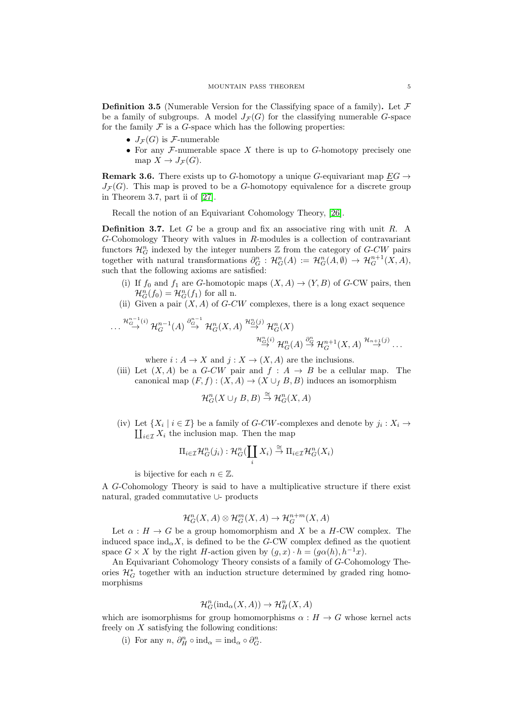**Definition 3.5** (Numerable Version for the Classifying space of a family). Let  $\mathcal F$ be a family of subgroups. A model  $J_{\mathcal{F}}(G)$  for the classifying numerable G-space for the family  $\mathcal F$  is a  $G$ -space which has the following properties:

- $J_{\mathcal{F}}(G)$  is *F*-numerable
- For any  $F$ -numerable space X there is up to  $G$ -homotopy precisely one map  $X \to J_{\mathcal{F}}(G)$ .

**Remark 3.6.** There exists up to G-homotopy a unique G-equivariant map  $EG \rightarrow$  $J_{\mathcal{F}}(G)$ . This map is proved to be a G-homotopy equivalence for a discrete group in Theorem 3.7, part ii of [\[27\]](#page-14-12).

Recall the notion of an Equivariant Cohomology Theory, [\[26\]](#page-14-15).

**Definition 3.7.** Let G be a group and fix an associative ring with unit R. A G-Cohomology Theory with values in R-modules is a collection of contravariant functors  $\mathcal{H}_G^n$  indexed by the integer numbers  $\mathbb Z$  from the category of  $G$ -CW pairs together with natural transformations  $\partial_G^n : \mathcal{H}_G^n(A) := \mathcal{H}_G^n(A, \emptyset) \to \mathcal{H}_G^{n+1}(X, A)$ , such that the following axioms are satisfied:

- (i) If  $f_0$  and  $f_1$  are G-homotopic maps  $(X, A) \to (Y, B)$  of G-CW pairs, then  $\mathcal{H}_G^n(f_0) = \mathcal{H}_G^n(f_1)$  for all n.
- (ii) Given a pair  $(X, A)$  of G-CW complexes, there is a long exact sequence

$$
\dots \stackrel{\mathcal{H}^{n-1}_{G}}{\rightarrow} \mathcal{H}^{n-1}_{G}(A) \stackrel{\partial^{n-1}_{G}}{\rightarrow} \mathcal{H}^{n}_{G}(X,A) \stackrel{\mathcal{H}^{n}_{G}(j)}{\rightarrow} \mathcal{H}^{n}_{G}(X) \stackrel{\mathcal{H}^{n}_{G}(i)}{\rightarrow} \mathcal{H}^{n}_{G}(A) \stackrel{\partial^{n}_{G}}{\rightarrow} \mathcal{H}^{n+1}_{G}(X,A) \stackrel{\mathcal{H}_{n+1}(j)}{\rightarrow} \dots
$$

where  $i : A \to X$  and  $j : X \to (X, A)$  are the inclusions.

(iii) Let  $(X, A)$  be a G-CW pair and  $f : A \rightarrow B$  be a cellular map. The canonical map  $(F, f) : (X, A) \to (X \cup_f B, B)$  induces an isomorphism

$$
\mathcal{H}^n_G(X \cup_f B, B) \stackrel{\cong}{\to} \mathcal{H}^n_G(X, A)
$$

(iv) Let  $\{X_i \mid i \in \mathcal{I}\}$  be a family of *G-CW*-complexes and denote by  $j_i : X_i \to \prod_{i \in \mathcal{T}} X_i$  the inclusion map. Then the map  $\coprod_{i\in\mathcal{I}} X_i$  the inclusion map. Then the map

$$
\Pi_{i\in\mathcal{I}}\mathcal{H}_G^n(j_i):\mathcal{H}_G^n(\coprod_i X_i)\stackrel{\cong}{\to}\Pi_{i\in\mathcal{I}}\mathcal{H}_G^n(X_i)
$$

is bijective for each  $n \in \mathbb{Z}$ .

A G-Cohomology Theory is said to have a multiplicative structure if there exist natural, graded commutative ∪- products

$$
\mathcal{H}^n_G(X, A) \otimes \mathcal{H}^m_G(X, A) \to \mathcal{H}^{n+m}_G(X, A)
$$

Let  $\alpha : H \to G$  be a group homomorphism and X be a H-CW complex. The induced space  $\text{ind}_{\alpha} X$ , is defined to be the G-CW complex defined as the quotient space  $G \times X$  by the right H-action given by  $(g, x) \cdot h = (g \alpha(h), h^{-1}x)$ .

An Equivariant Cohomology Theory consists of a family of G-Cohomology Theories  $\mathcal{H}^*_G$  together with an induction structure determined by graded ring homomorphisms

$$
\mathcal{H}^n_G(\text{ind}_\alpha(X,A)) \to \mathcal{H}^n_H(X,A)
$$

which are isomorphisms for group homomorphisms  $\alpha : H \to G$  whose kernel acts freely on  $X$  satisfying the following conditions:

(i) For any  $n, \partial_H^n \circ \text{ind}_{\alpha} = \text{ind}_{\alpha} \circ \partial_G^n$ .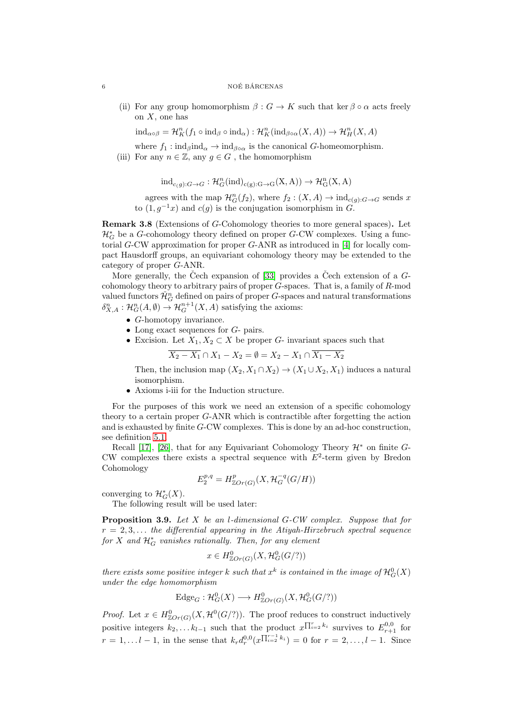#### $\begin{array}{c}\n 6 \\
 \hline\n \text{NOÉ BÁRCENAS}\n \end{array}$

(ii) For any group homomorphism  $\beta: G \to K$  such that ker  $\beta \circ \alpha$  acts freely on  $X$ , one has

 $\text{ind}_{\alpha\circ\beta} = \mathcal{H}_K^n(f_1 \circ \text{ind}_{\beta} \circ \text{ind}_{\alpha}) : \mathcal{H}_K^n(\text{ind}_{\beta\circ\alpha}(X, A)) \to \mathcal{H}_H^n(X, A)$ 

where  $f_1$  :  $\text{ind}_{\beta}$ ind $_{\alpha} \rightarrow \text{ind}_{\beta \circ \alpha}$  is the canonical G-homeomorphism.

(iii) For any  $n \in \mathbb{Z}$ , any  $g \in G$ , the homomorphism

$$
\mathrm{ind}_{c(g):G\rightarrow G}: \mathcal{H}^{n}_{G}(\mathrm{ind})_{c(g):G\rightarrow G}(X,A))\rightarrow \mathcal{H}^{n}_{G}(X,A)
$$

agrees with the map  $\mathcal{H}_G^n(f_2)$ , where  $f_2: (X, A) \to \text{ind}_{c(g):G \to G}$  sends x to  $(1, g^{-1}x)$  and  $c(g)$  is the conjugation isomorphism in G.

Remark 3.8 (Extensions of G-Cohomology theories to more general spaces). Let  $\mathcal{H}^*_G$  be a  $G\text{-cohomology}$  theory defined on proper  $G\text{-}\mathrm{CW}$  complexes. Using a functorial G-CW approximation for proper G-ANR as introduced in [\[4\]](#page-14-11) for locally compact Hausdorff groups, an equivariant cohomology theory may be extended to the category of proper G-ANR.

More generally, the Čech expansion of [\[33\]](#page-15-3) provides a Čech extension of a  $G$ cohomology theory to arbitrary pairs of proper  $G$ -spaces. That is, a family of  $R$ -mod valued functors  $\check{\mathcal{H}}_G^n$  defined on pairs of proper G-spaces and natural transformations  $\delta_{X,A}^n : \mathcal{H}_G^n(A, \emptyset) \to \mathcal{H}_G^{n+1}(X, A)$  satisfying the axioms:

- G-homotopy invariance.
- Long exact sequences for  $G$  pairs.
- Excision. Let  $X_1, X_2 \subset X$  be proper G- invariant spaces such that

$$
\overline{X_2 - X_1} \cap X_1 - X_2 = \emptyset = X_2 - X_1 \cap \overline{X_1 - X_2}
$$

Then, the inclusion map  $(X_2, X_1 \cap X_2) \to (X_1 \cup X_2, X_1)$  induces a natural isomorphism.

• Axioms i-iii for the Induction structure.

For the purposes of this work we need an extension of a specific cohomology theory to a certain proper G-ANR which is contractible after forgetting the action and is exhausted by finite G-CW complexes. This is done by an ad-hoc construction, see definition [5.1.](#page-11-0)

Recall [\[17\]](#page-14-16), [\[26\]](#page-14-15), that for any Equivariant Cohomology Theory  $\mathcal{H}^*$  on finite G-CW complexes there exists a spectral sequence with  $E^2$ -term given by Bredon Cohomology

$$
E_2^{p,q} = H^p_{\mathbb{Z}Or(G)}(X, \mathcal{H}_G^{-q}(G/H))
$$

converging to  $\mathcal{H}_G^*(X)$ .

The following result will be used later:

<span id="page-5-0"></span>Proposition 3.9. Let X be an l-dimensional G-CW complex. Suppose that for  $r = 2, 3, \ldots$  the differential appearing in the Atiyah-Hirzebruch spectral sequence  $for X$  and  $\mathcal{H}^*_G$  vanishes rationally. Then, for any element

$$
x \in H^0_{\mathbb{Z}Or(G)}(X, \mathcal{H}^0_G(G/?) )
$$

there exists some positive integer  $k$  such that  $x^k$  is contained in the image of  ${\mathcal H}^0_G(X)$ under the edge homomorphism

$$
Edge_G : \mathcal{H}^0_G(X) \longrightarrow H^0_{\mathbb{Z}Or(G)}(X, \mathcal{H}^0_G(G/?)
$$

*Proof.* Let  $x \in H_{\mathbb{Z}Or(G)}^{0}(X, \mathcal{H}^{0}(G/2))$ . The proof reduces to construct inductively positive integers  $k_2, \ldots k_{l-1}$  such that the product  $x^{\prod_{i=2}^{r} k_i}$  survives to  $E^{0,0}_{r+1}$  for  $r = 1, \ldots l - 1$ , in the sense that  $k_r d_r^{0,0}(x^{\prod_{i=2}^{r-1} k_i}) = 0$  for  $r = 2, \ldots, l-1$ . Since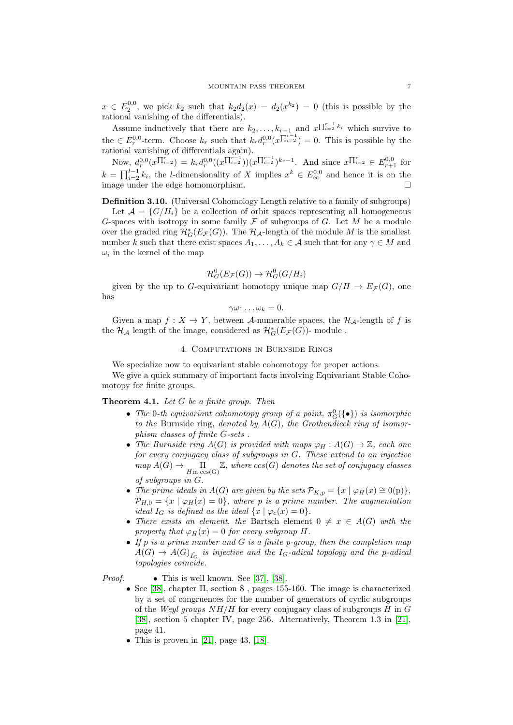$x \in E_2^{0,0}$ , we pick  $k_2$  such that  $k_2d_2(x) = d_2(x^{k_2}) = 0$  (this is possible by the rational vanishing of the differentials).

Assume inductively that there are  $k_2, \ldots, k_{r-1}$  and  $x^{\prod_{i=2}^{r-1} k_i}$  which survive to the  $\in E_r^{0,0}$ -term. Choose  $k_r$  such that  $k_r d_r^{0,0}(x^{\prod_{i=2}^{r-1}}) = 0$ . This is possible by the rational vanishing of differentials again).

Now,  $d_r^{0,0}(x^{\prod_{i=2}^{r}}) = k_r d_r^{0,0}((x^{\prod_{i=2}^{r-1}}))(x^{\prod_{i=2}^{r-1}})^{k_r-1}$ . And since  $x^{\prod_{i=2}^{r}} \in E_{r+1}^{0,0}$  for  $k = \prod_{i=2}^{l-1} k_i$ , the l-dimensionality of X implies  $x^k \in E_{\infty}^{0,0}$  and hence it is on the  $\Box$  image under the edge homomorphism.

Definition 3.10. (Universal Cohomology Length relative to a family of subgroups)

Let  $\mathcal{A} = \{G/H_i\}$  be a collection of orbit spaces representing all homogeneous G-spaces with isotropy in some family  $\mathcal F$  of subgroups of G. Let M be a module over the graded ring  $\mathcal{H}^*_G(E_\mathcal{F}(G))$ . The  $\mathcal{H}_\mathcal{A}$ -length of the module M is the smallest number k such that there exist spaces  $A_1, \ldots, A_k \in \mathcal{A}$  such that for any  $\gamma \in M$  and  $\omega_i$  in the kernel of the map

$$
\mathcal{H}^0_G(E_{\mathcal{F}}(G)) \to \mathcal{H}^0_G(G/H_i)
$$

given by the up to G-equivariant homotopy unique map  $G/H \to E_{\mathcal{F}}(G)$ , one has

$$
\gamma\omega_1\ldots\omega_k=0.
$$

Given a map  $f: X \to Y$ , between A-numerable spaces, the  $\mathcal{H}_{\mathcal{A}}$ -length of f is the  $\mathcal{H}_{\mathcal{A}}$  length of the image, considered as  $\mathcal{H}^*_{G}(E_{\mathcal{F}}(G))$  - module .

### 4. Computations in Burnside Rings

We specialize now to equivariant stable cohomotopy for proper actions.

We give a quick summary of important facts involving Equivariant Stable Cohomotopy for finite groups.

## <span id="page-6-0"></span>Theorem 4.1. Let G be a finite group. Then

- The 0-th equivariant cohomotopy group of a point,  $\pi_G^0({\{\bullet\}})$  is isomorphic to the Burnside ring, denoted by  $A(G)$ , the Grothendieck ring of isomorphism classes of finite G-sets .
- The Burnside ring  $A(G)$  is provided with maps  $\varphi_H : A(G) \to \mathbb{Z}$ , each one for every conjugacy class of subgroups in G. These extend to an injective  $map A(G) \rightarrow \prod_{H \text{in } \text{ccs}(G)} \mathbb{Z}$ , where  $ccs(G)$  denotes the set of conjugacy classes of subgroups in G.
- The prime ideals in  $A(G)$  are given by the sets  $\mathcal{P}_{K,p} = \{x \mid \varphi_H(x) \cong 0(\mathrm{p})\},\$  $\mathcal{P}_{H,0} = \{x \mid \varphi_H(x) = 0\},\$  where p is a prime number. The augmentation ideal  $I_G$  is defined as the ideal  $\{x \mid \varphi_e(x) = 0\}.$
- There exists an element, the Bartsch element  $0 \neq x \in A(G)$  with the property that  $\varphi_H(x) = 0$  for every subgroup H.
- If p is a prime number and G is a finite p-group, then the completion map  $A(G) \rightarrow A(G)_{\hat{I_G}}$  is injective and the I<sub>G</sub>-adical topology and the p-adical topologies coincide.

*Proof.* • This is well known. See [\[37\]](#page-15-4), [\[38\]](#page-15-5).

- See [\[38\]](#page-15-5), chapter II, section 8 , pages 155-160. The image is characterized by a set of congruences for the number of generators of cyclic subgroups of the Weyl groups  $NH/H$  for every conjugacy class of subgroups  $H$  in  $G$ [\[38\]](#page-15-5), section 5 chapter IV, page 256. Alternatively, Theorem 1.3 in [\[21\]](#page-14-17), page 41.
- This is proven in [\[21\]](#page-14-17), page 43, [\[18\]](#page-14-18).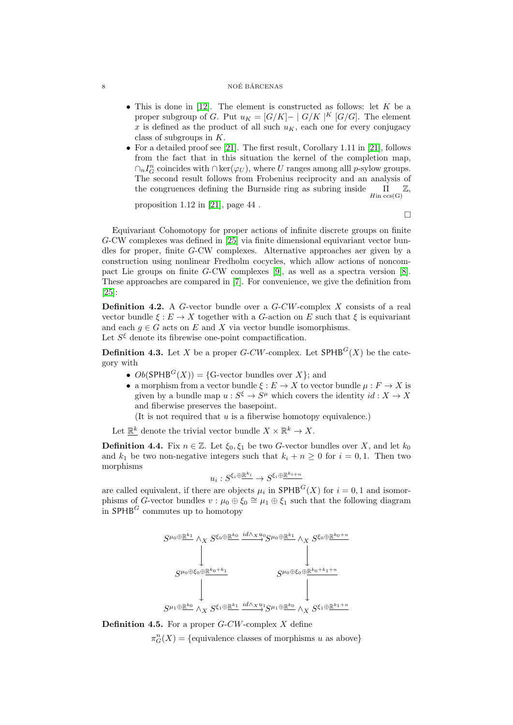#### $\begin{array}{c}\n 8 \\
 \hline\n \end{array}$  NOÉ BÁRCENAS

- This is done in [\[12\]](#page-14-2). The element is constructed as follows: let  $K$  be a proper subgroup of G. Put  $u_K = [G/K] - |G/K|$ <sup>K</sup> [G/G]. The element x is defined as the product of all such  $u_K$ , each one for every conjugacy class of subgroups in  $K$ .
- For a detailed proof see [\[21\]](#page-14-17). The first result, Corollary 1.11 in [21], follows from the fact that in this situation the kernel of the completion map,  $\cap_n I_G^n$  coincides with  $\cap \text{ker}(\varphi_U)$ , where U ranges among all p-sylow groups. The second result follows from Frobenius reciprocity and an analysis of the congruences defining the Burnside ring as subring inside  $\Pi_{\text{lin } \text{ccs(G)}} \mathbb{Z}$ ,

proposition 1.12 in [\[21\]](#page-14-17), page 44 .

 $\Box$ 

Equivariant Cohomotopy for proper actions of infinite discrete groups on finite G-CW complexes was defined in [\[25\]](#page-14-19) via finite dimensional equivariant vector bundles for proper, finite G-CW complexes. Alternative approaches aer given by a construction using nonlinear Fredholm cocycles, which allow actions of noncompact Lie groups on finite G-CW complexes  $[9]$ , as well as a spectra version  $[8]$ . These approaches are compared in [\[7\]](#page-14-9). For convenience, we give the definition from [\[25\]](#page-14-19):

**Definition 4.2.** A G-vector bundle over a  $G-CW$ -complex X consists of a real vector bundle  $\xi : E \to X$  together with a G-action on E such that  $\xi$  is equivariant and each  $q \in G$  acts on E and X via vector bundle isomorphisms. Let  $S^{\xi}$  denote its fibrewise one-point compactification.

<span id="page-7-0"></span>**Definition 4.3.** Let X be a proper G-CW-complex. Let  $SPHB<sup>G</sup>(X)$  be the category with

- $Ob(SPHB<sup>G</sup>(X)) = {G-vector bundles over X}$ ; and
- a morphism from a vector bundle  $\xi : E \to X$  to vector bundle  $\mu : F \to X$  is given by a bundle map  $u : S^{\xi} \to S^{\mu}$  which covers the identity  $id : X \to X$ and fiberwise preserves the basepoint.

(It is not required that  $u$  is a fiberwise homotopy equivalence.)

Let  $\mathbb{R}^k$  denote the trivial vector bundle  $X \times \mathbb{R}^k \to X$ .

**Definition 4.4.** Fix  $n \in \mathbb{Z}$ . Let  $\xi_0, \xi_1$  be two G-vector bundles over X, and let  $k_0$ and  $k_1$  be two non-negative integers such that  $k_i + n \geq 0$  for  $i = 0, 1$ . Then two morphisms

$$
u_i:S^{\xi_i\oplus \underline{\mathbb{R}^{k_i}}}\to S^{\xi_i\oplus \underline{\mathbb{R}^{k_{i+n}}}}
$$

are called equivalent, if there are objects  $\mu_i$  in  $\mathsf{SPHB}^G(X)$  for  $i = 0, 1$  and isomorphisms of G-vector bundles  $v : \mu_0 \oplus \xi_0 \cong \mu_1 \oplus \xi_1$  such that the following diagram in  $SPHB^G$  commutes up to homotopy



**Definition 4.5.** For a proper  $G-CW$ -complex X define

 $\pi_G^n(X) = \{\text{equivalence classes of morphisms } u \text{ as above}\}\$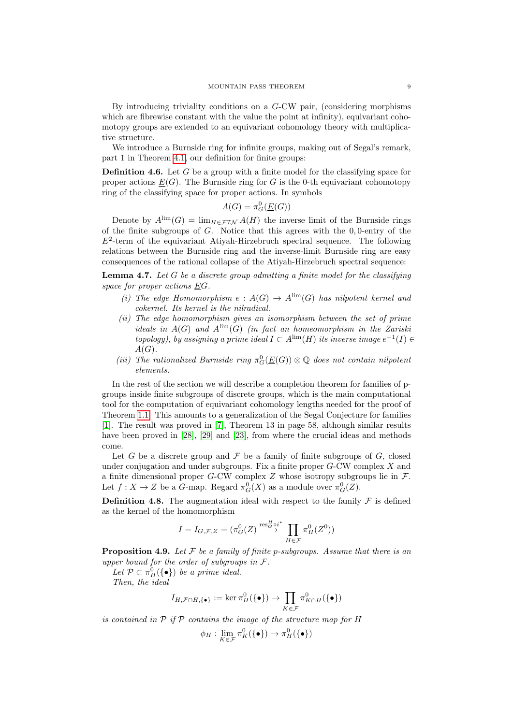By introducing triviality conditions on a G-CW pair, (considering morphisms which are fibrewise constant with the value the point at infinity), equivariant cohomotopy groups are extended to an equivariant cohomology theory with multiplicative structure.

We introduce a Burnside ring for infinite groups, making out of Segal's remark, part 1 in Theorem [4.1,](#page-6-0) our definition for finite groups:

**Definition 4.6.** Let G be a group with a finite model for the classifying space for proper actions  $\underline{E}(G)$ . The Burnside ring for G is the 0-th equivariant cohomotopy ring of the classifying space for proper actions. In symbols

$$
A(G) = \pi_G^0(\underline{E}(G))
$$

Denote by  $A^{\text{lim}}(G) = \lim_{H \in \mathcal{FIN}} A(H)$  the inverse limit of the Burnside rings of the finite subgroups of  $G$ . Notice that this agrees with the  $0,0$ -entry of the  $E^2$ -term of the equivariant Atiyah-Hirzebruch spectral sequence. The following relations between the Burnside ring and the inverse-limit Burnside ring are easy consequences of the rational collapse of the Atiyah-Hirzebruch spectral sequence:

**Lemma 4.7.** Let  $G$  be a discrete group admitting a finite model for the classifying space for proper actions EG.

- (i) The edge Homomorphism  $e : A(G) \to A^{\lim}(G)$  has nilpotent kernel and cokernel. Its kernel is the nilradical.
- (ii) The edge homomorphism gives an isomorphism between the set of prime ideals in  $A(G)$  and  $A^{\text{lim}}(G)$  (in fact an homeomorphism in the Zariski topology), by assigning a prime ideal  $I \subset A^{\lim}(H)$  its inverse image  $e^{-1}(I) \in$  $A(G)$ .
- (iii) The rationalized Burnside ring  $\pi_G^0(\underline{E}(G)) \otimes \mathbb{Q}$  does not contain nilpotent elements.

In the rest of the section we will describe a completion theorem for families of pgroups inside finite subgroups of discrete groups, which is the main computational tool for the computation of equivariant cohomology lengths needed for the proof of Theorem [1.1.](#page-0-1) This amounts to a generalization of the Segal Conjecture for families [\[1\]](#page-14-22). The result was proved in [\[7\]](#page-14-9), Theorem 13 in page 58, although similar results have been proved in [\[28\]](#page-14-23), [\[29\]](#page-14-24) and [\[23\]](#page-14-8), from where the crucial ideas and methods come.

Let G be a discrete group and  $\mathcal F$  be a family of finite subgroups of  $G$ , closed under conjugation and under subgroups. Fix a finite proper  $G$ -CW complex  $X$  and a finite dimensional proper G-CW complex  $Z$  whose isotropy subgroups lie in  $\mathcal{F}$ . Let  $f: X \to Z$  be a G-map. Regard  $\pi_G^0(X)$  as a module over  $\pi_G^0(Z)$ .

**Definition 4.8.** The augmentation ideal with respect to the family  $\mathcal F$  is defined as the kernel of the homomorphism

$$
I = I_{G,\mathcal{F},Z} = (\pi_G^0(Z) \overset{\text{res}_G^H \circ i^*}{\longrightarrow} \prod_{H \in \mathcal{F}} \pi_H^0(Z^0))
$$

**Proposition 4.9.** Let  $\mathcal F$  be a family of finite p-subgroups. Assume that there is an upper bound for the order of subgroups in  $\mathcal{F}.$ 

Let  $\mathcal{P} \subset \pi_H^0(\{\bullet\})$  be a prime ideal. Then, the ideal

$$
I_{H,\mathcal{F}\cap H,\{\bullet\}}:=\ker\pi_H^0(\{\bullet\})\to\prod_{K\in\mathcal{F}}\pi_{K\cap H}^0(\{\bullet\})
$$

is contained in  $P$  if  $P$  contains the image of the structure map for  $H$ 

$$
\phi_H: \lim_{K \in \mathcal{F}} \pi_K^0(\{\bullet\}) \to \pi_H^0(\{\bullet\})
$$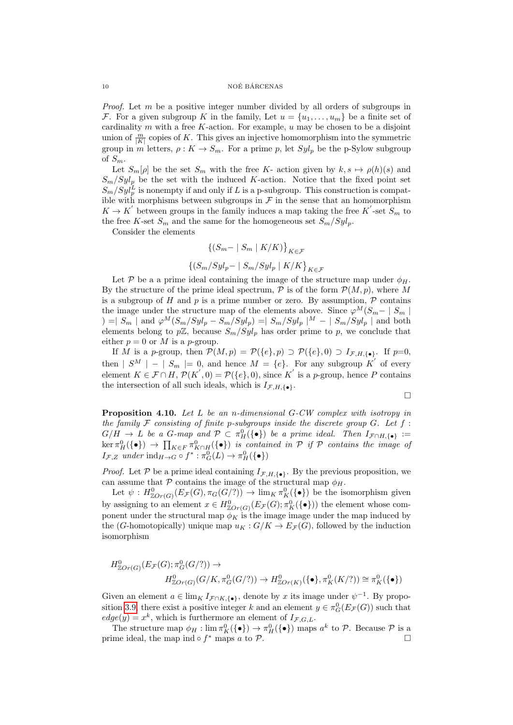*Proof.* Let  $m$  be a positive integer number divided by all orders of subgroups in F. For a given subgroup K in the family, Let  $u = \{u_1, \ldots, u_m\}$  be a finite set of cardinality m with a free K-action. For example,  $u$  may be chosen to be a disjoint union of  $\frac{m}{|K|}$  copies of K. This gives an injective homomorphism into the symmetric group in m letters,  $\rho: K \to S_m$ . For a prime p, let  $Syl_p$  be the p-Sylow subgroup of  $S_m$ .

Let  $S_m[\rho]$  be the set  $S_m$  with the free K- action given by  $k, s \mapsto \rho(h)(s)$  and  $S_m/Syl_p$  be the set with the induced K-action. Notice that the fixed point set  $S_m/Syl_p^L$  is nonempty if and only if L is a p-subgroup. This construction is compatible with morphisms between subgroups in  $\mathcal F$  in the sense that an homomorphism  $K \to K'$  between groups in the family induces a map taking the free  $K'$ -set  $S_m$  to the free K-set  $S_m$  and the same for the homogeneous set  $S_m/Syl_p$ .

Consider the elements

$$
{\{(S_m - | S_m | K/K)\}}_{K \in \mathcal{F}}
$$

$$
{\{(S_m/Syl_p - | S_m/Syl_p | K/K\}}_{K \in \mathcal{F}}
$$

Let P be a a prime ideal containing the image of the structure map under  $\phi_H$ . By the structure of the prime ideal spectrum,  $P$  is of the form  $P(M, p)$ , where M is a subgroup of H and  $p$  is a prime number or zero. By assumption,  $\mathcal P$  contains the image under the structure map of the elements above. Since  $\varphi^M(S_{m}-\mid S_m\mid$ ) =  $|S_m|$  and  $\varphi^M(S_m/Syl_p - S_m/Syl_p) = |S_m/Syl_p|^{M} - |S_m/Syl_p|$  and both elements belong to  $p\mathbb{Z}$ , because  $S_m/Syl_p$  has order prime to p, we conclude that either  $p = 0$  or M is a p-group.

If M is a p-group, then  $\mathcal{P}(M,p) = \mathcal{P}(\{e\},p) \supset \mathcal{P}(\{e\},0) \supset I_{\mathcal{F},H,\{\bullet\}}.$  If  $p=0$ , then  $|S^M| - |S_m| = 0$ , and hence  $M = \{e\}$ . For any subgroup K' of every element  $K \in \mathcal{F} \cap H$ ,  $\mathcal{P}(K', 0) = \mathcal{P}(\{e\}, 0)$ , since K' is a p-group, hence P contains the intersection of all such ideals, which is  $I_{\mathcal{F},H,\{\bullet\}}$ .

$$
\Box
$$

<span id="page-9-0"></span>Proposition 4.10. Let L be an n-dimensional G-CW complex with isotropy in the family  $\mathcal F$  consisting of finite p-subgroups inside the discrete group  $G$ . Let  $f$ :  $G/H \to L$  be a G-map and  $\mathcal{P} \subset \pi_H^0(\{\bullet\})$  be a prime ideal. Then  $I_{\mathcal{F} \cap H, \{\bullet\}} :=$  $\ker \pi_H^0(\{\bullet\}) \to \prod_{K \in F} \pi_{K\cap H}^0(\{\bullet\})$  is contained in  $\mathcal P$  if  $\mathcal P$  contains the image of  $I_{\mathcal{F},Z}$  under  $\text{ind}_{H\to G}\circ f^* : \pi_G^0(L) \to \pi_H^0(\{\bullet\})$ 

*Proof.* Let P be a prime ideal containing  $I_{\mathcal{F},H,\{\bullet\}}$ . By the previous proposition, we can assume that  $P$  contains the image of the structural map  $\phi_H$ .

Let  $\psi: H^0_{\mathbb{Z}Or(G)}(E_{\mathcal{F}}(G), \pi_G(G/?) \rightarrow \lim_K \pi_K^0(\{\bullet\})$  be the isomorphism given by assigning to an element  $x \in H^0_{\mathbb{Z}Or(G)}(E_{\mathcal{F}}(G); \pi^0_K(\{\bullet\}))$  the element whose component under the structural map  $\phi_K$  is the image image under the map induced by the (G-homotopically) unique map  $u_K : G/K \to E_{\mathcal{F}}(G)$ , followed by the induction isomorphism

$$
H^0_{\mathbb{Z}Or(G)}(E_{\mathcal{F}}(G); \pi_G^0(G/\text{?})) \to
$$
  

$$
H^0_{\mathbb{Z}Or(G)}(G/K, \pi_G^0(G/\text{?})) \to H^0_{\mathbb{Z}Or(K)}(\{\bullet\}, \pi_K^0(K/\text{?})) \cong \pi_K^0(\{\bullet\})
$$

Given an element  $a \in \lim_{K} I_{\mathcal{F} \cap K, {\{\bullet\}\}}$ , denote by x its image under  $\psi^{-1}$ . By propo-sition [3.9,](#page-5-0) there exist a positive integer k and an element  $y \in \pi_G^0(E_{\mathcal{F}}(G))$  such that  $edge(y) = x^k$ , which is furthermore an element of  $I_{\mathcal{F},G,L}$ .

The structure map  $\phi_H : \lim \pi_K^0(\{\bullet\}) \to \pi_H^0(\{\bullet\})$  maps  $a^k$  to  $P$ . Because  $P$  is a prime ideal, the map ind ∘  $f^*$  maps  $\alpha$  to  $\mathcal{P}$ .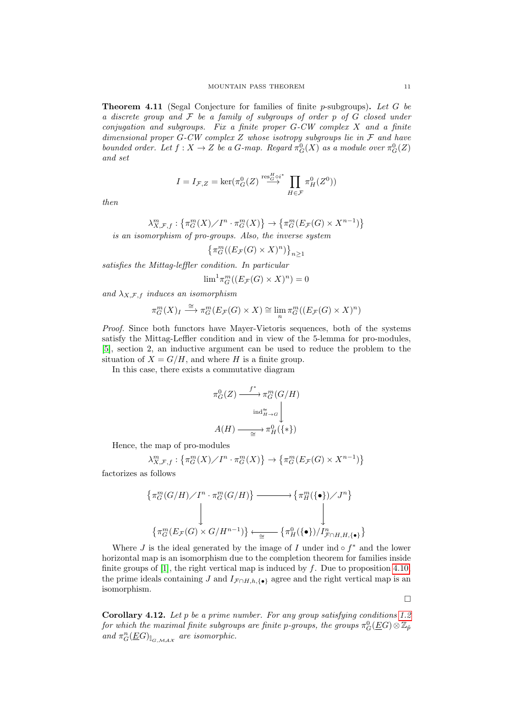**Theorem 4.11** (Segal Conjecture for families of finite p-subgroups). Let  $G$  be a discrete group and  $\mathcal F$  be a family of subgroups of order  $p$  of  $G$  closed under conjugation and subgroups. Fix a finite proper  $G-CW$  complex  $X$  and a finite dimensional proper  $G$ -CW complex Z whose isotropy subgroups lie in  $\mathcal F$  and have bounded order. Let  $f: X \to Z$  be a G-map. Regard  $\pi_G^0(X)$  as a module over  $\pi_G^0(Z)$ and set

$$
I = I_{\mathcal{F},Z} = \ker(\pi_G^0(Z) \stackrel{\text{res}_G^H \circ i^*}{\longrightarrow} \prod_{H \in \mathcal{F}} \pi_H^0(Z^0))
$$

then

$$
\lambda_{X,\mathcal{F},f}^m : \left\{ \pi_{G}^m(X) / I^n \cdot \pi_{G}^m(X) \right\} \to \left\{ \pi_{G}^m(E_{\mathcal{F}}(G) \times X^{n-1}) \right\}
$$

is an isomorphism of pro-groups. Also, the inverse system

$$
\left\{\pi^{m}_G((E_{\mathcal{F}}(G)\times X)^n)\right\}_{n\geq 1}
$$

satisfies the Mittag-leffler condition. In particular

$$
\lim^{1} \pi^{m}_{G}((E_{\mathcal{F}}(G) \times X)^{n}) = 0
$$

and  $\lambda_{X,\mathcal{F},f}$  induces an isomorphism

$$
\pi_G^m(X)_I \stackrel{\cong}{\longrightarrow} \pi_G^m(E_{\mathcal{F}}(G) \times X) \cong \lim_n \pi_G^m((E_{\mathcal{F}}(G) \times X)^n)
$$

Proof. Since both functors have Mayer-Vietoris sequences, both of the systems satisfy the Mittag-Leffler condition and in view of the 5-lemma for pro-modules, [\[5\]](#page-14-25), section 2, an inductive argument can be used to reduce the problem to the situation of  $X = G/H$ , and where H is a finite group.

In this case, there exists a commutative diagram

$$
\pi_G^0(Z) \xrightarrow{f^*} \pi_G^m(G/H)
$$

$$
\text{ind}_{H \to G}^{\cong} \downarrow
$$

$$
A(H) \xrightarrow{\cong} \pi_H^0(\{\ast\})
$$

Hence, the map of pro-modules

$$
\lambda_{X,\mathcal{F},f}^m: \left\{\pi_G^m(X)/I^n \cdot \pi_G^m(X)\right\} \to \left\{\pi_G^m(E_{\mathcal{F}}(G) \times X^{n-1})\right\}
$$

factorizes as follows

$$
\begin{aligned}\n\{\pi_G^m(G/H)/I^n \cdot \pi_G^m(G/H)\} &\longrightarrow \{\pi_H^m(\{\bullet\})/J^n\} \\
\downarrow &\qquad \qquad \downarrow \\
\{\pi_G^m(E_{\mathcal{F}}(G) \times G/H^{n-1})\} &\longleftarrow \{\pi_H^0(\{\bullet\})/I^n_{\mathcal{F} \cap H, H, \{\bullet\}}\}\n\end{aligned}
$$

Where  $J$  is the ideal generated by the image of  $I$  under ind  $\circ f^*$  and the lower horizontal map is an isomorphism due to the completion theorem for families inside finite groups of [\[1\]](#page-14-22), the right vertical map is induced by  $f$ . Due to proposition [4.10,](#page-9-0) the prime ideals containing J and  $I_{\mathcal{F} \cap H,h,\{\bullet\}}$  agree and the right vertical map is an isomorphism.

 $\Box$ 

Corollary 4.12. Let p be a prime number. For any group satisfying conditions [1.2](#page-0-0) for which the maximal finite subgroups are finite p-groups, the groups  $\pi^0_G(\underline{E}G)\otimes \mathbb{Z}_{\hat{p}}$ and  $\pi_G^n(\underline{EG})_{\hat{\mathbb{I}}_{G,\mathcal{MAX}}}$  are isomorphic.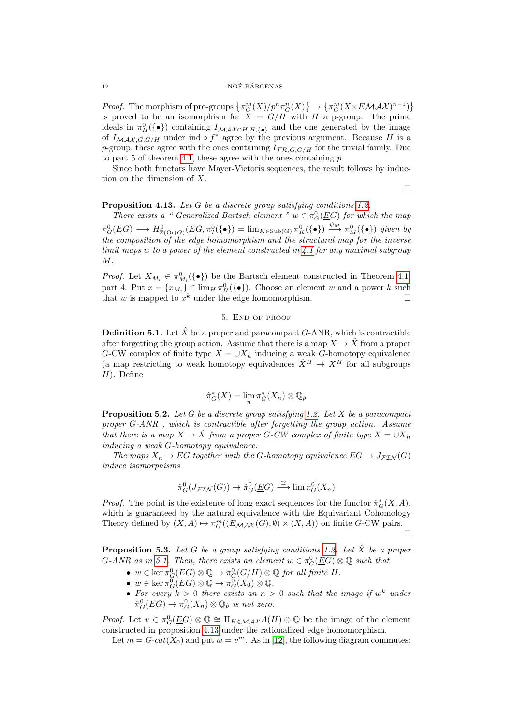*Proof.* The morphism of pro-groups  $\{\pi_G^m(X)/p^n\pi_G^n(X)\}\to \{\pi_G^m(X\times E\mathcal{MAX})^{n-1})\}$ is proved to be an isomorphism for  $X = G/H$  with H a p-group. The prime ideals in  $\pi_H^0(\{\bullet\})$  containing  $I_{\mathcal{MAX} \cap H, H, {\{\bullet\}}}$  and the one generated by the image of  $I_{\mathcal{MAX}, G, G/H}$  under ind  $\circ f^*$  agree by the previous argument. Because H is a p-group, these agree with the ones containing  $I_{TR, G, G/H}$  for the trivial family. Due to part  $5$  of theorem  $4.1$ , these agree with the ones containing  $p$ .

Since both functors have Mayer-Vietoris sequences, the result follows by induction on the dimension of X.

 $\Box$ 

<span id="page-11-1"></span>Proposition 4.13. Let G be a discrete group satisfying conditions [1.2.](#page-0-0)

There exists a " Generalized Bartsch element "  $w \in \pi_G^0(\underline{E}G)$  for which the map  $\pi_G^0(\underline{E}G) \longrightarrow H^0_{\mathbb{Z}(\text{Or}(G)}(\underline{E}G,\pi_?^0(\{\bullet\}) = \lim_{K \in \text{Sub}(G)} \pi_K^0(\{\bullet\}) \stackrel{\psi_M}{\longrightarrow} \pi_M^0(\{\bullet\})$  given by the composition of the edge homomorphism and the structural map for the inverse  $limit$  maps w to a power of the element constructed in  $\lambda.1$  for any maximal subgroup M.

*Proof.* Let  $X_{M_i} \in \pi_{M_i}^0(\{\bullet\})$  be the Bartsch element constructed in Theorem [4.1,](#page-6-0) part 4. Put  $x = \{x_{M_i}\}\in \lim_H \pi_H^0(\{\bullet\})$ . Choose an element w and a power k such that w is mapped to  $x^k$  under the edge homomorphism.

## 5. End of proof

<span id="page-11-0"></span>**Definition 5.1.** Let  $\hat{X}$  be a proper and paracompact  $G$ -ANR, which is contractible after forgetting the group action. Assume that there is a map  $X \to \hat{X}$  from a proper G-CW complex of finite type  $X = \cup X_n$  inducing a weak G-homotopy equivalence (a map restricting to weak homotopy equivalences  $\hat{X}^H \to X^H$  for all subgroups  $H$ ). Define

$$
\hat{\pi}_G^*(\hat{X}) = \lim_n \pi_G^*(X_n) \otimes \mathbb{Q}_{\hat{p}}
$$

<span id="page-11-2"></span>**Proposition 5.2.** Let G be a discrete group satisfying [1.2.](#page-0-0) Let X be a paracompact proper G-ANR , which is contractible after forgetting the group action. Assume that there is a map  $X \to \hat{X}$  from a proper G-CW complex of finite type  $X = \cup X_n$ inducing a weak G-homotopy equivalence.

The maps  $X_n \to \underline{E}G$  together with the G-homotopy equivalence  $\underline{E}G \to J_{\mathcal{F}IN}(G)$ induce isomorphisms

$$
\hat{\pi}_G^0(J_{\mathcal{FIN}}(G)) \to \hat{\pi}_G^0(\underline{E}G) \stackrel{\cong}{\longrightarrow} \lim \pi_G^0(X_n)
$$

*Proof.* The point is the existence of long exact sequences for the functor  $\hat{\pi}_G^*(X, A)$ , which is guaranteed by the natural equivalence with the Equivariant Cohomology Theory defined by  $(X, A) \mapsto \pi_G^m((E_{\mathcal{MAX}}(G), \emptyset) \times (X, A))$  on finite G-CW pairs.

 $\Box$ 

<span id="page-11-3"></span>**Proposition 5.3.** Let G be a group satisfying conditions [1.2.](#page-0-0) Let  $\hat{X}$  be a proper  $G\text{-}ANR$  as in [5.1.](#page-11-0) Then, there exists an element  $w \in \pi_G^0(\underline{E}G) \otimes \mathbb{Q}$  such that

- $w \in \ker \pi_G^0(\underline{E}G) \otimes \mathbb{Q} \to \pi_G^0(G/H) \otimes \mathbb{Q}$  for all finite H.
- $w \in \ker \pi_G^0(\underline{E}G) \otimes \mathbb{Q} \to \pi_G^0(X_0) \otimes \mathbb{Q}.$
- For every  $k > 0$  there exists an  $n > 0$  such that the image if  $w<sup>k</sup>$  under  $\hat{\pi}^0_G(\underline{E}G) \to \pi^0_G(X_n) \otimes \mathbb{Q}_{\hat{p}}$  is not zero.

*Proof.* Let  $v \in \pi_G^0(\underline{EG}) \otimes \mathbb{Q} \cong \Pi_{H \in \mathcal{MAX}} A(H) \otimes \mathbb{Q}$  be the image of the element constructed in proposition [4.13](#page-11-1) under the rationalized edge homomorphism.

Let  $m = G\text{-}cat(X_0)$  and put  $w = v^m$ . As in [\[12\]](#page-14-2), the following diagram commutes: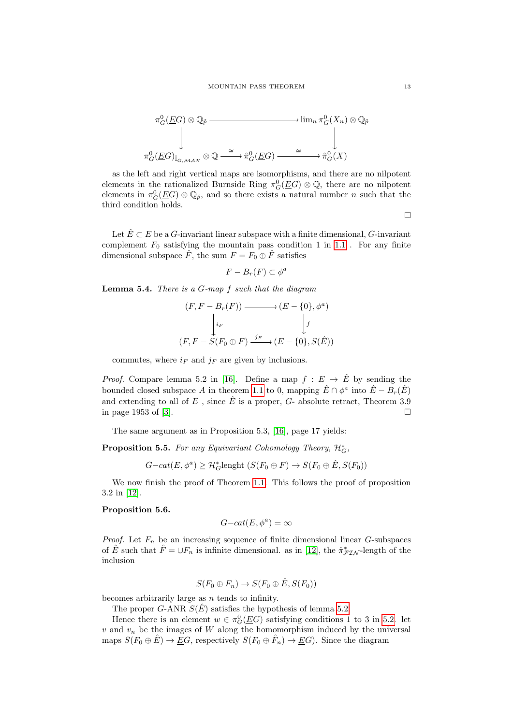

as the left and right vertical maps are isomorphisms, and there are no nilpotent elements in the rationalized Burnside Ring  $\pi_G^0(\underline{E}G) \otimes \mathbb{Q}$ , there are no nilpotent elements in  $\pi_G^0(\underline{E}G)\otimes\mathbb{Q}_{\hat{p}}$ , and so there exists a natural number n such that the third condition holds.

 $\Box$ 

Let  $\hat{E} \subset E$  be a G-invariant linear subspace with a finite dimensional, G-invariant complement  $F_0$  satisfying the mountain pass condition 1 in [1.1](#page-0-1). For any finite dimensional subspace  $\hat{F}$ , the sum  $F = F_0 \oplus \hat{F}$  satisfies

$$
F - B_r(F) \subset \phi^a
$$

**Lemma 5.4.** There is a  $G$ -map  $f$  such that the diagram

$$
(F, F - Br(F)) \longrightarrow (E - \{0\}, \phia)
$$
  
\n
$$
\downarrow_{i_F} \qquad \qquad \downarrow_{f}
$$
  
\n
$$
(F, F - S(F_0 \oplus F) \xrightarrow{j_F} (E - \{0\}, S(\hat{E}))
$$

commutes, where  $i_F$  and  $j_F$  are given by inclusions.

*Proof.* Compare lemma 5.2 in [\[16\]](#page-14-10). Define a map  $f : E \to \hat{E}$  by sending the bounded closed subspace A in theorem [1.1](#page-0-1) to 0, mapping  $\hat{E} \cap \phi^a$  into  $\hat{E} - B_r(\hat{E})$ and extending to all of E, since  $\hat{E}$  is a proper, G- absolute retract. Theorem 3.9 in page 1953 of [\[3\]](#page-14-26).

The same argument as in Proposition 5.3, [\[16\]](#page-14-10), page 17 yields:

<span id="page-12-0"></span>**Proposition 5.5.** For any Equivariant Cohomology Theory,  $\mathcal{H}_G^*$ ,

 $G-cat(E, \phi^a) \geq \mathcal{H}_G^*$ lenght  $(S(F_0 \oplus F) \to S(F_0 \oplus \hat{E}, S(F_0))$ 

We now finish the proof of Theorem [1.1.](#page-0-1) This follows the proof of proposition 3.2 in [\[12\]](#page-14-2).

## Proposition 5.6.

$$
G-cat(E, \phi^a) = \infty
$$

*Proof.* Let  $F_n$  be an increasing sequence of finite dimensional linear G-subspaces of  $\hat{E}$  such that  $\hat{F} = \bigcup F_n$  is infinite dimensional. as in [\[12\]](#page-14-2), the  $\hat{\pi}_{\mathcal{FIN}}^*$ -length of the inclusion

$$
S(F_0 \oplus F_n) \to S(F_0 \oplus \hat{E}, S(F_0))
$$

becomes arbitrarily large as  $n$  tends to infinity.

The proper G-ANR  $S(\hat{E})$  satisfies the hypothesis of lemma [5.2.](#page-11-2)

Hence there is an element  $w \in \pi_G^0(\underline{E}G)$  satisfying conditions 1 to 3 in [5.2.](#page-11-2) let  $v$  and  $v_n$  be the images of W along the homomorphism induced by the universal maps  $S(F_0 \oplus \hat{E}) \to \underline{E}G$ , respectively  $S(F_0 \oplus \hat{F}_n) \to \underline{E}G$ ). Since the diagram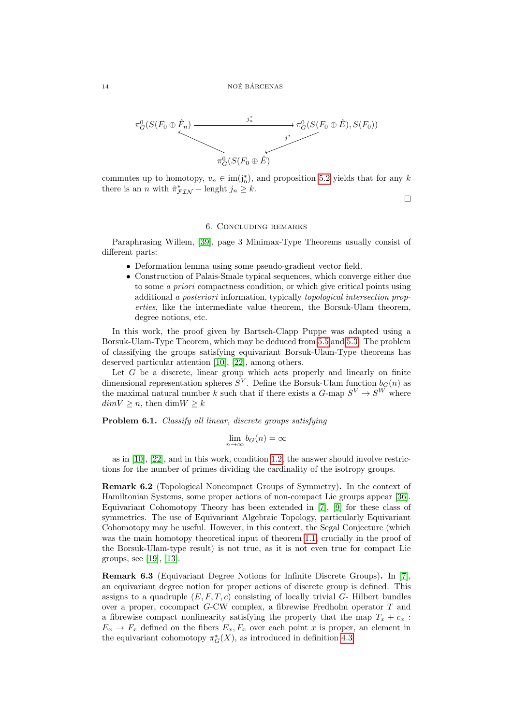

commutes up to homotopy,  $v_n \in \text{im}(j_n^*)$ , and proposition [5.2](#page-11-2) yields that for any k there is an *n* with  $\hat{\pi}_{\text{FIN}}^* -$  lenght  $j_n \geq k$ .

 $\Box$ 

### 6. Concluding remarks

Paraphrasing Willem, [\[39\]](#page-15-6), page 3 Minimax-Type Theorems usually consist of different parts:

- Deformation lemma using some pseudo-gradient vector field.
- Construction of Palais-Smale typical sequences, which converge either due to some a priori compactness condition, or which give critical points using additional a posteriori information, typically topological intersection properties, like the intermediate value theorem, the Borsuk-Ulam theorem, degree notions, etc.

In this work, the proof given by Bartsch-Clapp Puppe was adapted using a Borsuk-Ulam-Type Theorem, which may be deduced from [5.5](#page-12-0) and [5.3.](#page-11-3) The problem of classifying the groups satisfying equivariant Borsuk-Ulam-Type theorems has deserved particular attention [\[10\]](#page-14-27), [\[22\]](#page-14-28), among others.

Let  $G$  be a discrete, linear group which acts properly and linearly on finite dimensional representation spheres  $S^V$ . Define the Borsuk-Ulam function  $b_G(n)$  as the maximal natural number k such that if there exists a  $G$ -map  $S^V \to S^W$  where  $dim V > n$ , then  $dim W > k$ 

Problem 6.1. Classify all linear, discrete groups satisfying

$$
\lim_{n \to \infty} b_G(n) = \infty
$$

as in  $[10]$ ,  $[22]$ , and in this work, condition [1.2,](#page-0-0) the answer should involve restrictions for the number of primes dividing the cardinality of the isotropy groups.

Remark 6.2 (Topological Noncompact Groups of Symmetry). In the context of Hamiltonian Systems, some proper actions of non-compact Lie groups appear [\[36\]](#page-15-7). Equivariant Cohomotopy Theory has been extended in [\[7\]](#page-14-9), [\[9\]](#page-14-20) for these class of symmetries. The use of Equivariant Algebraic Topology, particularly Equivariant Cohomotopy may be useful. However, in this context, the Segal Conjecture (which was the main homotopy theoretical input of theorem [1.1,](#page-0-1) crucially in the proof of the Borsuk-Ulam-type result) is not true, as it is not even true for compact Lie groups, see [\[19\]](#page-14-29), [\[13\]](#page-14-30).

Remark 6.3 (Equivariant Degree Notions for Infinite Discrete Groups). In [\[7\]](#page-14-9), an equivariant degree notion for proper actions of discrete group is defined. This assigns to a quadruple  $(E, F, T, c)$  consisting of locally trivial  $G$ - Hilbert bundles over a proper, cocompact G-CW complex, a fibrewise Fredholm operator T and a fibrewise compact nonlinearity satisfying the property that the map  $T_x + c_x$ :  $E_x \rightarrow F_x$  defined on the fibers  $E_x, F_x$  over each point x is proper, an element in the equivariant cohomotopy  $\pi_G^*(X)$ , as introduced in definition [4.3.](#page-7-0)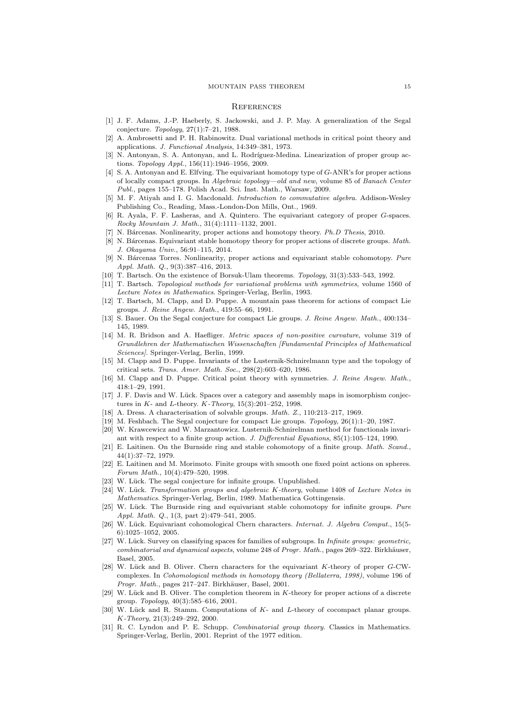#### MOUNTAIN PASS THEOREM 15

#### **REFERENCES**

- <span id="page-14-22"></span>[1] J. F. Adams, J.-P. Haeberly, S. Jackowski, and J. P. May. A generalization of the Segal conjecture. Topology, 27(1):7–21, 1988.
- <span id="page-14-0"></span>[2] A. Ambrosetti and P. H. Rabinowitz. Dual variational methods in critical point theory and applications. J. Functional Analysis, 14:349–381, 1973.
- <span id="page-14-26"></span>[3] N. Antonyan, S. A. Antonyan, and L. Rodríguez-Medina. Linearization of proper group actions. Topology Appl., 156(11):1946–1956, 2009.
- <span id="page-14-11"></span>[4] S. A. Antonyan and E. Elfving. The equivariant homotopy type of G-ANR's for proper actions of locally compact groups. In Algebraic topology—old and new, volume 85 of Banach Center Publ., pages 155–178. Polish Acad. Sci. Inst. Math., Warsaw, 2009.
- <span id="page-14-25"></span>[5] M. F. Atiyah and I. G. Macdonald. Introduction to commutative algebra. Addison-Wesley Publishing Co., Reading, Mass.-London-Don Mills, Ont., 1969.
- <span id="page-14-6"></span>[6] R. Ayala, F. F. Lasheras, and A. Quintero. The equivariant category of proper G-spaces. Rocky Mountain J. Math., 31(4):1111–1132, 2001.
- <span id="page-14-9"></span>[7] N. Bárcenas. Nonlinearity, proper actions and homotopy theory. *Ph.D Thesis*, 2010.
- <span id="page-14-21"></span>[8] N. Bárcenas. Equivariant stable homotopy theory for proper actions of discrete groups. Math. J. Okayama Univ., 56:91–115, 2014.
- <span id="page-14-20"></span>[9] N. Bárcenas Torres. Nonlinearity, proper actions and equivariant stable cohomotopy. Pure Appl. Math. Q., 9(3):387–416, 2013.
- <span id="page-14-27"></span>[10] T. Bartsch. On the existence of Borsuk-Ulam theorems. Topology, 31(3):533–543, 1992.
- <span id="page-14-3"></span>[11] T. Bartsch. Topological methods for variational problems with symmetries, volume 1560 of Lecture Notes in Mathematics. Springer-Verlag, Berlin, 1993.
- <span id="page-14-2"></span>[12] T. Bartsch, M. Clapp, and D. Puppe. A mountain pass theorem for actions of compact Lie groups. J. Reine Angew. Math., 419:55–66, 1991.
- <span id="page-14-30"></span>[13] S. Bauer. On the Segal conjecture for compact Lie groups. J. Reine Angew. Math., 400:134-145, 1989.
- <span id="page-14-13"></span>[14] M. R. Bridson and A. Haefliger. Metric spaces of non-positive curvature, volume 319 of Grundlehren der Mathematischen Wissenschaften [Fundamental Principles of Mathematical Sciences]. Springer-Verlag, Berlin, 1999.
- <span id="page-14-7"></span>[15] M. Clapp and D. Puppe. Invariants of the Lusternik-Schnirelmann type and the topology of critical sets. Trans. Amer. Math. Soc., 298(2):603–620, 1986.
- <span id="page-14-10"></span>[16] M. Clapp and D. Puppe. Critical point theory with symmetries. J. Reine Angew. Math., 418:1–29, 1991.
- <span id="page-14-16"></span>[17] J. F. Davis and W. Lück. Spaces over a category and assembly maps in isomorphism conjectures in K- and L-theory. K-Theory,  $15(3):201-252$ , 1998.
- <span id="page-14-18"></span>[18] A. Dress. A characterisation of solvable groups. *Math. Z.*, 110:213-217, 1969.
- <span id="page-14-29"></span>[19] M. Feshbach. The Segal conjecture for compact Lie groups. Topology, 26(1):1–20, 1987.
- <span id="page-14-1"></span>[20] W. Krawcewicz and W. Marzantowicz. Lusternik-Schnirelman method for functionals invari-
- <span id="page-14-17"></span>ant with respect to a finite group action. J. Differential Equations, 85(1):105–124, 1990. [21] E. Laitinen. On the Burnside ring and stable cohomotopy of a finite group. Math. Scand.,
- <span id="page-14-28"></span>[22] E. Laitinen and M. Morimoto. Finite groups with smooth one fixed point actions on spheres. Forum Math., 10(4):479–520, 1998.
- <span id="page-14-8"></span>[23] W. Lück. The segal conjecture for infinite groups. Unpublished.

44(1):37–72, 1979.

- <span id="page-14-14"></span>[24] W. Lück. Transformation groups and algebraic K-theory, volume 1408 of Lecture Notes in Mathematics. Springer-Verlag, Berlin, 1989. Mathematica Gottingensis.
- <span id="page-14-19"></span>W. Lück. The Burnside ring and equivariant stable cohomotopy for infinite groups. Pure Appl. Math. Q., 1(3, part 2):479–541, 2005.
- <span id="page-14-15"></span>[26] W. Lück. Equivariant cohomological Chern characters. Internat. J. Algebra Comput., 15(5-6):1025–1052, 2005.
- <span id="page-14-12"></span>[27] W. Lück. Survey on classifying spaces for families of subgroups. In *Infinite groups: geometric*,  $combinatorial and dynamical aspects, volume 248 of *Program. Math.*, pages 269–322. Birkhäuser,$ Basel, 2005.
- <span id="page-14-23"></span>[28] W. Lück and B. Oliver. Chern characters for the equivariant K-theory of proper G-CWcomplexes. In Cohomological methods in homotopy theory (Bellaterra, 1998), volume 196 of Progr. Math., pages 217–247. Birkhäuser, Basel, 2001.
- <span id="page-14-24"></span>[29] W. Lück and B. Oliver. The completion theorem in K-theory for proper actions of a discrete group. Topology, 40(3):585–616, 2001.
- <span id="page-14-4"></span>[30] W. Lück and R. Stamm. Computations of K- and L-theory of cocompact planar groups. K-Theory, 21(3):249–292, 2000.
- <span id="page-14-5"></span>[31] R. C. Lyndon and P. E. Schupp. Combinatorial group theory. Classics in Mathematics. Springer-Verlag, Berlin, 2001. Reprint of the 1977 edition.